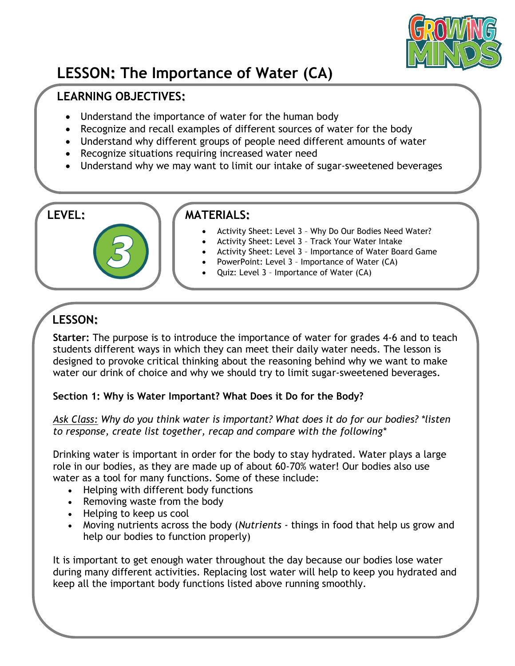

# **LESSON: The Importance of Water (CA)**

## **LEARNING OBJECTIVES:**

- Understand the importance of water for the human body
- Recognize and recall examples of different sources of water for the body
- Understand why different groups of people need different amounts of water
- Recognize situations requiring increased water need
- Understand why we may want to limit our intake of sugar-sweetened beverages

### **LEVEL: MATERIALS:**

- Activity Sheet: Level 3 Why Do Our Bodies Need Water?
- Activity Sheet: Level 3 Track Your Water Intake
- Activity Sheet: Level 3 Importance of Water Board Game
- PowerPoint: Level 3 Importance of Water (CA)
- Quiz: Level 3 Importance of Water (CA)

# **LESSON:**

**Starter:** The purpose is to introduce the importance of water for grades 4-6 and to teach students different ways in which they can meet their daily water needs. The lesson is designed to provoke critical thinking about the reasoning behind why we want to make water our drink of choice and why we should try to limit sugar-sweetened beverages.

#### **Section 1: Why is Water Important? What Does it Do for the Body?**

*Ask Class: Why do you think water is important? What does it do for our bodies? \*listen to response, create list together, recap and compare with the following\**

Drinking water is important in order for the body to stay hydrated. Water plays a large role in our bodies, as they are made up of about 60-70% water! Our bodies also use water as a tool for many functions. Some of these include:

- Helping with different body functions
- Removing waste from the body
- Helping to keep us cool
- Moving nutrients across the body (*Nutrients -* things in food that help us grow and help our bodies to function properly)

It is important to get enough water throughout the day because our bodies lose water during many different activities. Replacing lost water will help to keep you hydrated and keep all the important body functions listed above running smoothly.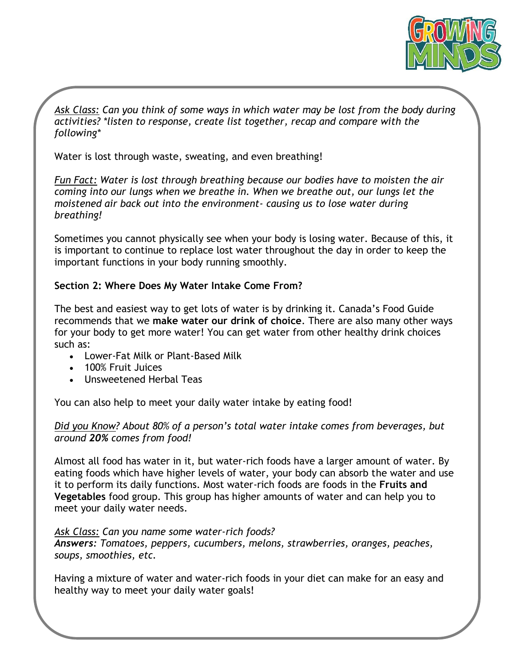

*Ask Class: Can you think of some ways in which water may be lost from the body during activities? \*listen to response, create list together, recap and compare with the following\**

Water is lost through waste, sweating, and even breathing!

*Fun Fact: Water is lost through breathing because our bodies have to moisten the air coming into our lungs when we breathe in. When we breathe out, our lungs let the moistened air back out into the environment- causing us to lose water during breathing!*

Sometimes you cannot physically see when your body is losing water. Because of this, it is important to continue to replace lost water throughout the day in order to keep the important functions in your body running smoothly.

#### **Section 2: Where Does My Water Intake Come From?**

The best and easiest way to get lots of water is by drinking it. Canada's Food Guide recommends that we **make water our drink of choice**. There are also many other ways for your body to get more water! You can get water from other healthy drink choices such as:

- Lower-Fat Milk or Plant-Based Milk
- 100% Fruit Juices
- Unsweetened Herbal Teas

You can also help to meet your daily water intake by eating food!

#### *Did you Know? About 80% of a person's total water intake comes from beverages, but around 20% comes from food!*

Almost all food has water in it, but water-rich foods have a larger amount of water. By eating foods which have higher levels of water, your body can absorb the water and use it to perform its daily functions. Most water-rich foods are foods in the **Fruits and Vegetables** food group. This group has higher amounts of water and can help you to meet your daily water needs.

*Ask Class: Can you name some water-rich foods? Answers: Tomatoes, peppers, cucumbers, melons, strawberries, oranges, peaches, soups, smoothies, etc.*

Having a mixture of water and water-rich foods in your diet can make for an easy and healthy way to meet your daily water goals!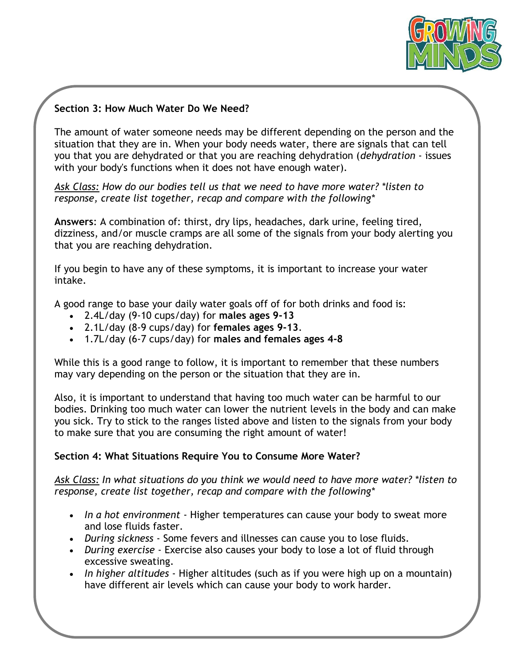

#### **Section 3: How Much Water Do We Need?**

The amount of water someone needs may be different depending on the person and the situation that they are in. When your body needs water, there are signals that can tell you that you are dehydrated or that you are reaching dehydration (*dehydration* - issues with your body's functions when it does not have enough water).

*Ask Class: How do our bodies tell us that we need to have more water? \*listen to response, create list together, recap and compare with the following\**

**Answers**: A combination of: thirst, dry lips, headaches, dark urine, feeling tired, dizziness, and/or muscle cramps are all some of the signals from your body alerting you that you are reaching dehydration.

If you begin to have any of these symptoms, it is important to increase your water intake.

A good range to base your daily water goals off of for both drinks and food is:

- 2.4L/day (9-10 cups/day) for **males ages 9-13**
- 2.1L/day (8-9 cups/day) for **females ages 9-13**.
- 1.7L/day (6-7 cups/day) for **males and females ages 4-8**

While this is a good range to follow, it is important to remember that these numbers may vary depending on the person or the situation that they are in.

Also, it is important to understand that having too much water can be harmful to our bodies. Drinking too much water can lower the nutrient levels in the body and can make you sick. Try to stick to the ranges listed above and listen to the signals from your body to make sure that you are consuming the right amount of water!

#### **Section 4: What Situations Require You to Consume More Water?**

*Ask Class: In what situations do you think we would need to have more water? \*listen to response, create list together, recap and compare with the following\**

- *In a hot environment* Higher temperatures can cause your body to sweat more and lose fluids faster.
- *During sickness* Some fevers and illnesses can cause you to lose fluids.
- *During exercise* Exercise also causes your body to lose a lot of fluid through excessive sweating.
- *In higher altitudes*  Higher altitudes (such as if you were high up on a mountain) have different air levels which can cause your body to work harder.